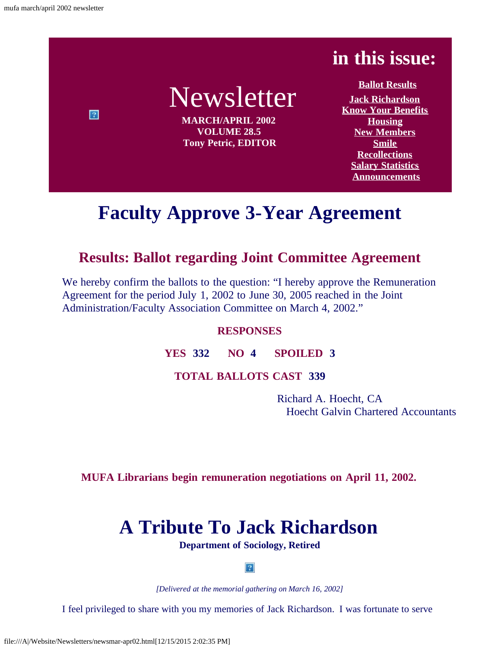$\boxed{2}$ 

## **in this issue:**

# Newsletter

**MARCH/APRIL 2002 VOLUME 28.5 Tony Petric, EDITOR**

**[Ballot Results](#page-0-0) [Jack Richardson](#page-0-1) [Know Your Benefits](#page-2-0) [Housing](#page-3-0) [New Members](#page-3-1) [Smile](#page-3-2) [Recollections](#page-3-3) [Salary Statistics](file:///A|/Website/Newsletters/slry01-02.html) [Announcements](#page-6-0)**

## **Faculty Approve 3-Year Agreement**

### <span id="page-0-0"></span>**Results: Ballot regarding Joint Committee Agreement**

We hereby confirm the ballots to the question: "I hereby approve the Remuneration Agreement for the period July 1, 2002 to June 30, 2005 reached in the Joint Administration/Faculty Association Committee on March 4, 2002."

#### **RESPONSES**

#### **YES 332 NO 4 SPOILED 3**

#### **TOTAL BALLOTS CAST 339**

Richard A. Hoecht, CA Hoecht Galvin Chartered Accountants

<span id="page-0-1"></span>**MUFA Librarians begin remuneration negotiations on April 11, 2002.**

## **A Tribute To Jack Richardson**

**Department of Sociology, Retired**

 $|2|$ 

*[Delivered at the memorial gathering on March 16, 2002]*

I feel privileged to share with you my memories of Jack Richardson. I was fortunate to serve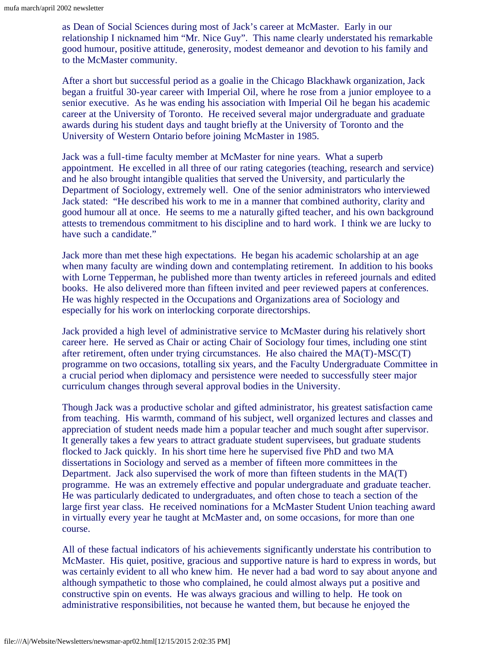as Dean of Social Sciences during most of Jack's career at McMaster. Early in our relationship I nicknamed him "Mr. Nice Guy". This name clearly understated his remarkable good humour, positive attitude, generosity, modest demeanor and devotion to his family and to the McMaster community.

After a short but successful period as a goalie in the Chicago Blackhawk organization, Jack began a fruitful 30-year career with Imperial Oil, where he rose from a junior employee to a senior executive. As he was ending his association with Imperial Oil he began his academic career at the University of Toronto. He received several major undergraduate and graduate awards during his student days and taught briefly at the University of Toronto and the University of Western Ontario before joining McMaster in 1985.

Jack was a full-time faculty member at McMaster for nine years. What a superb appointment. He excelled in all three of our rating categories (teaching, research and service) and he also brought intangible qualities that served the University, and particularly the Department of Sociology, extremely well. One of the senior administrators who interviewed Jack stated: "He described his work to me in a manner that combined authority, clarity and good humour all at once. He seems to me a naturally gifted teacher, and his own background attests to tremendous commitment to his discipline and to hard work. I think we are lucky to have such a candidate."

Jack more than met these high expectations. He began his academic scholarship at an age when many faculty are winding down and contemplating retirement. In addition to his books with Lorne Tepperman, he published more than twenty articles in refereed journals and edited books. He also delivered more than fifteen invited and peer reviewed papers at conferences. He was highly respected in the Occupations and Organizations area of Sociology and especially for his work on interlocking corporate directorships.

Jack provided a high level of administrative service to McMaster during his relatively short career here. He served as Chair or acting Chair of Sociology four times, including one stint after retirement, often under trying circumstances. He also chaired the MA(T)-MSC(T) programme on two occasions, totalling six years, and the Faculty Undergraduate Committee in a crucial period when diplomacy and persistence were needed to successfully steer major curriculum changes through several approval bodies in the University.

Though Jack was a productive scholar and gifted administrator, his greatest satisfaction came from teaching. His warmth, command of his subject, well organized lectures and classes and appreciation of student needs made him a popular teacher and much sought after supervisor. It generally takes a few years to attract graduate student supervisees, but graduate students flocked to Jack quickly. In his short time here he supervised five PhD and two MA dissertations in Sociology and served as a member of fifteen more committees in the Department. Jack also supervised the work of more than fifteen students in the MA(T) programme. He was an extremely effective and popular undergraduate and graduate teacher. He was particularly dedicated to undergraduates, and often chose to teach a section of the large first year class. He received nominations for a McMaster Student Union teaching award in virtually every year he taught at McMaster and, on some occasions, for more than one course.

All of these factual indicators of his achievements significantly understate his contribution to McMaster. His quiet, positive, gracious and supportive nature is hard to express in words, but was certainly evident to all who knew him. He never had a bad word to say about anyone and although sympathetic to those who complained, he could almost always put a positive and constructive spin on events. He was always gracious and willing to help. He took on administrative responsibilities, not because he wanted them, but because he enjoyed the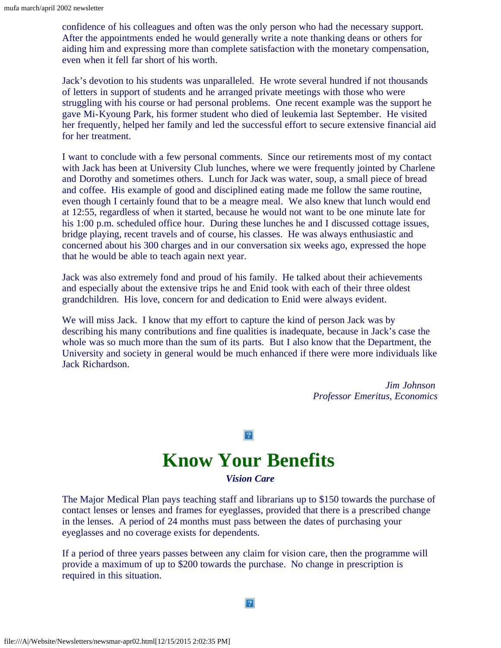confidence of his colleagues and often was the only person who had the necessary support. After the appointments ended he would generally write a note thanking deans or others for aiding him and expressing more than complete satisfaction with the monetary compensation, even when it fell far short of his worth.

Jack's devotion to his students was unparalleled. He wrote several hundred if not thousands of letters in support of students and he arranged private meetings with those who were struggling with his course or had personal problems. One recent example was the support he gave Mi-Kyoung Park, his former student who died of leukemia last September. He visited her frequently, helped her family and led the successful effort to secure extensive financial aid for her treatment.

I want to conclude with a few personal comments. Since our retirements most of my contact with Jack has been at University Club lunches, where we were frequently jointed by Charlene and Dorothy and sometimes others. Lunch for Jack was water, soup, a small piece of bread and coffee. His example of good and disciplined eating made me follow the same routine, even though I certainly found that to be a meagre meal. We also knew that lunch would end at 12:55, regardless of when it started, because he would not want to be one minute late for his 1:00 p.m. scheduled office hour. During these lunches he and I discussed cottage issues, bridge playing, recent travels and of course, his classes. He was always enthusiastic and concerned about his 300 charges and in our conversation six weeks ago, expressed the hope that he would be able to teach again next year.

Jack was also extremely fond and proud of his family. He talked about their achievements and especially about the extensive trips he and Enid took with each of their three oldest grandchildren. His love, concern for and dedication to Enid were always evident.

We will miss Jack. I know that my effort to capture the kind of person Jack was by describing his many contributions and fine qualities is inadequate, because in Jack's case the whole was so much more than the sum of its parts. But I also know that the Department, the University and society in general would be much enhanced if there were more individuals like Jack Richardson.

> *Jim Johnson Professor Emeritus, Economics*

#### $|2|$

## **Know Your Benefits**

*Vision Care*

<span id="page-2-0"></span>The Major Medical Plan pays teaching staff and librarians up to \$150 towards the purchase of contact lenses or lenses and frames for eyeglasses, provided that there is a prescribed change in the lenses. A period of 24 months must pass between the dates of purchasing your eyeglasses and no coverage exists for dependents.

If a period of three years passes between any claim for vision care, then the programme will provide a maximum of up to \$200 towards the purchase. No change in prescription is required in this situation.

 $|2|$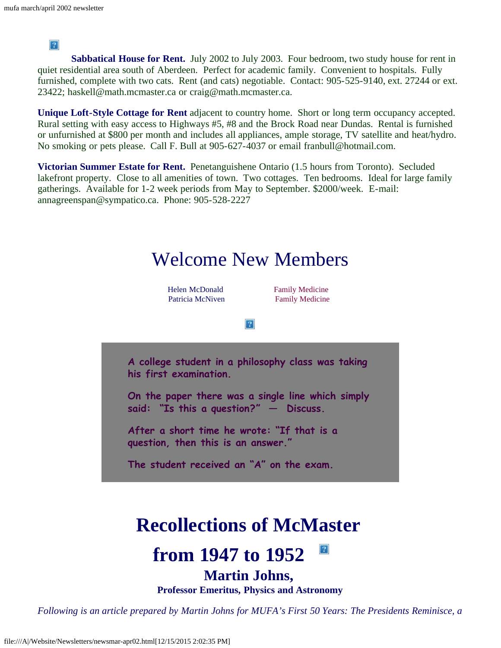$|2|$ 

<span id="page-3-0"></span>**Sabbatical House for Rent.** July 2002 to July 2003. Four bedroom, two study house for rent in quiet residential area south of Aberdeen. Perfect for academic family. Convenient to hospitals. Fully furnished, complete with two cats. Rent (and cats) negotiable. Contact: 905-525-9140, ext. 27244 or ext. 23422; haskell@math.mcmaster.ca or craig@math.mcmaster.ca.

**Unique Loft-Style Cottage for Rent** adjacent to country home. Short or long term occupancy accepted. Rural setting with easy access to Highways #5, #8 and the Brock Road near Dundas. Rental is furnished or unfurnished at \$800 per month and includes all appliances, ample storage, TV satellite and heat/hydro. No smoking or pets please. Call F. Bull at 905-627-4037 or email franbull@hotmail.com.

**Victorian Summer Estate for Rent.** Penetanguishene Ontario (1.5 hours from Toronto). Secluded lakefront property. Close to all amenities of town. Two cottages. Ten bedrooms. Ideal for large family gatherings. Available for 1-2 week periods from May to September. \$2000/week. E-mail: annagreenspan@sympatico.ca. Phone: 905-528-2227

<span id="page-3-2"></span><span id="page-3-1"></span>

## **Recollections of McMaster**

#### $|2|$ **from 1947 to 1952**

### **Martin Johns,**

**Professor Emeritus, Physics and Astronomy**

<span id="page-3-3"></span>*Following is an article prepared by Martin Johns for MUFA's First 50 Years: The Presidents Reminisce, a*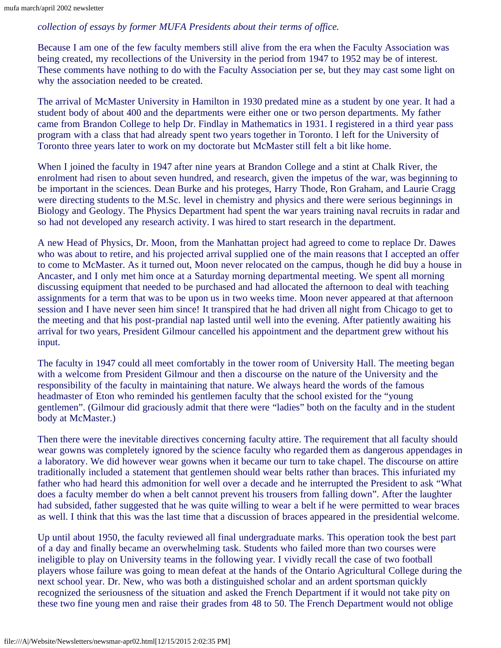#### *collection of essays by former MUFA Presidents about their terms of office.*

Because I am one of the few faculty members still alive from the era when the Faculty Association was being created, my recollections of the University in the period from 1947 to 1952 may be of interest. These comments have nothing to do with the Faculty Association per se, but they may cast some light on why the association needed to be created.

The arrival of McMaster University in Hamilton in 1930 predated mine as a student by one year. It had a student body of about 400 and the departments were either one or two person departments. My father came from Brandon College to help Dr. Findlay in Mathematics in 1931. I registered in a third year pass program with a class that had already spent two years together in Toronto. I left for the University of Toronto three years later to work on my doctorate but McMaster still felt a bit like home.

When I joined the faculty in 1947 after nine years at Brandon College and a stint at Chalk River, the enrolment had risen to about seven hundred, and research, given the impetus of the war, was beginning to be important in the sciences. Dean Burke and his proteges, Harry Thode, Ron Graham, and Laurie Cragg were directing students to the M.Sc. level in chemistry and physics and there were serious beginnings in Biology and Geology. The Physics Department had spent the war years training naval recruits in radar and so had not developed any research activity. I was hired to start research in the department.

A new Head of Physics, Dr. Moon, from the Manhattan project had agreed to come to replace Dr. Dawes who was about to retire, and his projected arrival supplied one of the main reasons that I accepted an offer to come to McMaster. As it turned out, Moon never relocated on the campus, though he did buy a house in Ancaster, and I only met him once at a Saturday morning departmental meeting. We spent all morning discussing equipment that needed to be purchased and had allocated the afternoon to deal with teaching assignments for a term that was to be upon us in two weeks time. Moon never appeared at that afternoon session and I have never seen him since! It transpired that he had driven all night from Chicago to get to the meeting and that his post-prandial nap lasted until well into the evening. After patiently awaiting his arrival for two years, President Gilmour cancelled his appointment and the department grew without his input.

The faculty in 1947 could all meet comfortably in the tower room of University Hall. The meeting began with a welcome from President Gilmour and then a discourse on the nature of the University and the responsibility of the faculty in maintaining that nature. We always heard the words of the famous headmaster of Eton who reminded his gentlemen faculty that the school existed for the "young gentlemen". (Gilmour did graciously admit that there were "ladies" both on the faculty and in the student body at McMaster.)

Then there were the inevitable directives concerning faculty attire. The requirement that all faculty should wear gowns was completely ignored by the science faculty who regarded them as dangerous appendages in a laboratory. We did however wear gowns when it became our turn to take chapel. The discourse on attire traditionally included a statement that gentlemen should wear belts rather than braces. This infuriated my father who had heard this admonition for well over a decade and he interrupted the President to ask "What does a faculty member do when a belt cannot prevent his trousers from falling down". After the laughter had subsided, father suggested that he was quite willing to wear a belt if he were permitted to wear braces as well. I think that this was the last time that a discussion of braces appeared in the presidential welcome.

Up until about 1950, the faculty reviewed all final undergraduate marks. This operation took the best part of a day and finally became an overwhelming task. Students who failed more than two courses were ineligible to play on University teams in the following year. I vividly recall the case of two football players whose failure was going to mean defeat at the hands of the Ontario Agricultural College during the next school year. Dr. New, who was both a distinguished scholar and an ardent sportsman quickly recognized the seriousness of the situation and asked the French Department if it would not take pity on these two fine young men and raise their grades from 48 to 50. The French Department would not oblige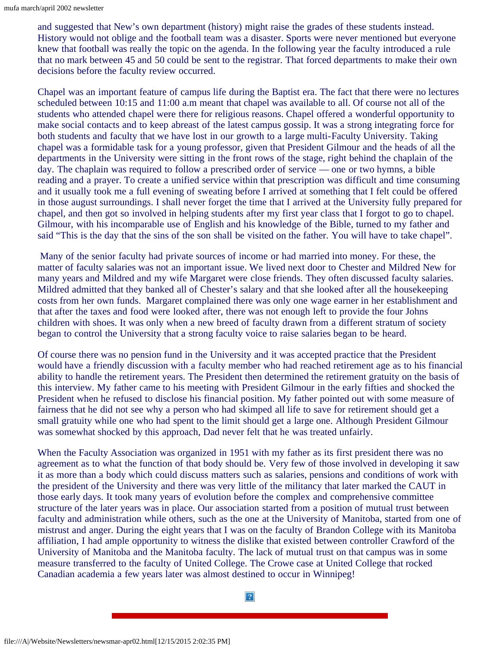and suggested that New's own department (history) might raise the grades of these students instead. History would not oblige and the football team was a disaster. Sports were never mentioned but everyone knew that football was really the topic on the agenda. In the following year the faculty introduced a rule that no mark between 45 and 50 could be sent to the registrar. That forced departments to make their own decisions before the faculty review occurred.

Chapel was an important feature of campus life during the Baptist era. The fact that there were no lectures scheduled between 10:15 and 11:00 a.m meant that chapel was available to all. Of course not all of the students who attended chapel were there for religious reasons. Chapel offered a wonderful opportunity to make social contacts and to keep abreast of the latest campus gossip. It was a strong integrating force for both students and faculty that we have lost in our growth to a large multi-Faculty University. Taking chapel was a formidable task for a young professor, given that President Gilmour and the heads of all the departments in the University were sitting in the front rows of the stage, right behind the chaplain of the day. The chaplain was required to follow a prescribed order of service — one or two hymns, a bible reading and a prayer. To create a unified service within that prescription was difficult and time consuming and it usually took me a full evening of sweating before I arrived at something that I felt could be offered in those august surroundings. I shall never forget the time that I arrived at the University fully prepared for chapel, and then got so involved in helping students after my first year class that I forgot to go to chapel. Gilmour, with his incomparable use of English and his knowledge of the Bible, turned to my father and said "This is the day that the sins of the son shall be visited on the father. You will have to take chapel".

Many of the senior faculty had private sources of income or had married into money. For these, the matter of faculty salaries was not an important issue. We lived next door to Chester and Mildred New for many years and Mildred and my wife Margaret were close friends. They often discussed faculty salaries. Mildred admitted that they banked all of Chester's salary and that she looked after all the housekeeping costs from her own funds. Margaret complained there was only one wage earner in her establishment and that after the taxes and food were looked after, there was not enough left to provide the four Johns children with shoes. It was only when a new breed of faculty drawn from a different stratum of society began to control the University that a strong faculty voice to raise salaries began to be heard.

Of course there was no pension fund in the University and it was accepted practice that the President would have a friendly discussion with a faculty member who had reached retirement age as to his financial ability to handle the retirement years. The President then determined the retirement gratuity on the basis of this interview. My father came to his meeting with President Gilmour in the early fifties and shocked the President when he refused to disclose his financial position. My father pointed out with some measure of fairness that he did not see why a person who had skimped all life to save for retirement should get a small gratuity while one who had spent to the limit should get a large one. Although President Gilmour was somewhat shocked by this approach, Dad never felt that he was treated unfairly.

When the Faculty Association was organized in 1951 with my father as its first president there was no agreement as to what the function of that body should be. Very few of those involved in developing it saw it as more than a body which could discuss matters such as salaries, pensions and conditions of work with the president of the University and there was very little of the militancy that later marked the CAUT in those early days. It took many years of evolution before the complex and comprehensive committee structure of the later years was in place. Our association started from a position of mutual trust between faculty and administration while others, such as the one at the University of Manitoba, started from one of mistrust and anger. During the eight years that I was on the faculty of Brandon College with its Manitoba affiliation, I had ample opportunity to witness the dislike that existed between controller Crawford of the University of Manitoba and the Manitoba faculty. The lack of mutual trust on that campus was in some measure transferred to the faculty of United College. The Crowe case at United College that rocked Canadian academia a few years later was almost destined to occur in Winnipeg!

 $|2|$